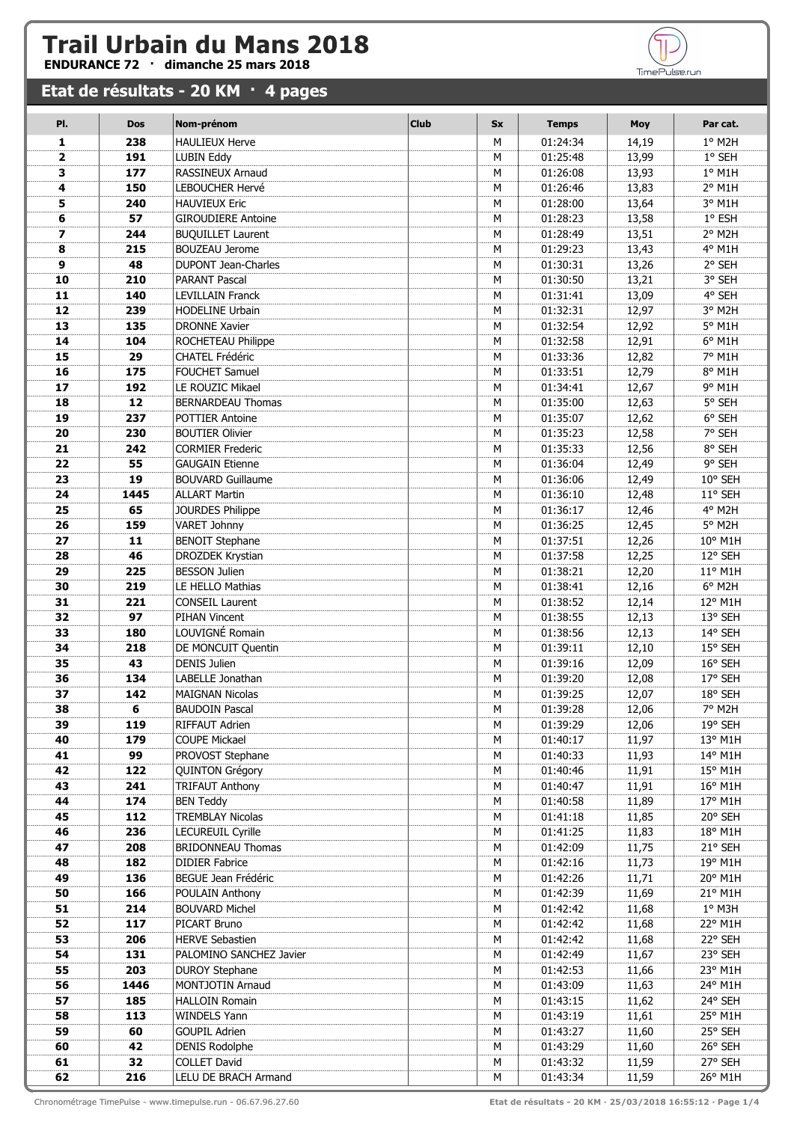## **Trail Urbain du Mans 2018**<br>ENDURANCE 72 · dimanche 25 mars 2018

## **Etat de résultats - 20 KM · 4 pages**

| PI.            | <b>Dos</b> | Nom-prénom                              | <b>Club</b> | <b>Sx</b> | <b>Temps</b>         | <b>Moy</b>     | Par cat.           |
|----------------|------------|-----------------------------------------|-------------|-----------|----------------------|----------------|--------------------|
| 1              | 238        | <b>HAULIEUX Herve</b>                   |             | M         | 01:24:34             | 14,19          | 1° M2H             |
| $\overline{2}$ | 191        | <b>LUBIN Eddy</b>                       |             | M         | 01:25:48             | 13,99          | 1° SEH             |
| 3              | 177        | RASSINEUX Arnaud                        |             | M         | 01:26:08             | 13,93          | $1°$ M1H           |
| 4              | 150        | LEBOUCHER Hervé                         |             | М         | 01:26:46             | 13,83          | 2° M1H             |
| 5              | 240        | <b>HAUVIEUX Eric</b>                    |             | М         | 01:28:00             | 13,64          | 3° M1H             |
| 6              | 57         | <b>GIROUDIERE Antoine</b>               |             | М         | 01:28:23             | 13,58          | 1° ESH             |
| $\overline{ }$ | 244        | <b>BUQUILLET Laurent</b>                |             | M         | 01:28:49             | 13,51          | 2° M2H             |
| 8              | 215        | <b>BOUZEAU Jerome</b>                   |             | М         | 01:29:23             | 13,43          | 4° M1H             |
| 9              | 48         | <b>DUPONT Jean-Charles</b>              |             | M         | 01:30:31             | 13,26          | 2° SEH             |
| 10             | 210        | <b>PARANT Pascal</b>                    |             | M         | 01:30:50             | 13,21          | 3° SEH             |
| 11             | 140        | <b>LEVILLAIN Franck</b>                 |             | М         | 01:31:41             | 13,09          | 4° SEH             |
| 12             | 239        | HODELINE Urbain                         |             | М         | 01:32:31             | 12,97          | 3° M2H             |
| 13             | 135        | <b>DRONNE Xavier</b>                    |             | M         | 01:32:54             | 12,92          | 5° M1H             |
| 14             | 104        | ROCHETEAU Philippe                      |             | М         | 01:32:58             | 12,91          | 6° M1H             |
| 15             | 29         | <b>CHATEL Frédéric</b>                  |             | М         | 01:33:36             | 12,82          | 7° M1H             |
| 16             | 175        | FOUCHET Samuel                          |             | М         | 01:33:51             | 12,79          | 8° M1H             |
| 17             | 192        | LE ROUZIC Mikael                        |             | М         | 01:34:41             | 12,67          | 9° M1H             |
| 18             | 12         | <b>BERNARDEAU Thomas</b>                |             | М         | 01:35:00             | 12,63          | 5° SEH             |
| 19             | 237        | <b>POTTIER Antoine</b>                  |             | М         | 01:35:07             | 12,62          | 6° SEH             |
| 20             | 230        | <b>BOUTIER Olivier</b>                  |             | M         | 01:35:23             | 12,58          | 7° SEH             |
| 21             | 242        | <b>CORMIER Frederic</b>                 |             | М         | 01:35:33             | 12,56          | 8° SEH             |
| 22             | 55         | <b>GAUGAIN Etienne</b>                  |             | M         | 01:36:04             | 12,49          | 9° SEH             |
| 23             | 19         | <b>BOUVARD Guillaume</b>                |             | M         | 01:36:06             | 12,49          | 10° SEH            |
| 24             | 1445       | <b>ALLART Martin</b>                    |             | M         | 01:36:10             | 12,48          | 11° SEH            |
| 25             | 65         | JOURDES Philippe                        |             | M         | 01:36:17             | 12,46          | 4° M2H             |
| 26             | 159        | <b>VARET Johnny</b>                     |             | M         | 01:36:25             | 12,45          | 5° M2H             |
| 27             | 11         | <b>BENOIT Stephane</b>                  |             | M         | 01:37:51             | 12,26          | 10° M1H            |
| 28             | 46         | DROZDEK Krystian                        |             | M         | 01:37:58             | 12,25          | 12° SEH            |
| 29             | 225        | <b>BESSON Julien</b>                    |             | M         | 01:38:21             | 12,20          | 11° M1H            |
| 30             | 219        | LE HELLO Mathias                        |             | М         | 01:38:41             | 12,16          | 6° M2H             |
| 31             | 221        | <b>CONSEIL Laurent</b>                  |             | M         | 01:38:52             | 12,14          | 12° M1H            |
| 32             | 97         | PIHAN Vincent                           |             | M         | 01:38:55             | 12,13          | 13° SEH            |
| 33             | 180        | LOUVIGNÉ Romain                         |             | М         | 01:38:56             | 12,13          | 14° SEH            |
| 34             | 218        | DE MONCUIT Quentin                      |             | M         | 01:39:11             | 12,10          | 15° SEH            |
| 35             | 43         | <b>DENIS Julien</b>                     |             | M         | 01:39:16             | 12,09          | 16° SEH            |
| 36             | 134        | LABELLE Jonathan                        |             | М         | 01:39:20             | 12,08          | 17° SEH<br>18° SEH |
| 37<br>38       | 142<br>6   | <b>MAIGNAN Nicolas</b>                  |             | М<br>М    | 01:39:25<br>01:39:28 | 12,07<br>12,06 | 7° M2H             |
|                |            | <b>BAUDOIN Pascal</b><br>RIFFAUT Adrien |             |           |                      |                | 19° SEH            |
| 39<br>40       | 119<br>179 | COUPE Mickael                           |             | М<br>М    | 01:39:29<br>01:40:17 | 12,06<br>11,97 | 13° M1H            |
| 41             | 99         | PROVOST Stephane                        |             | М         | 01:40:33             | 11,93          | 14° M1H            |
| 42             | 122        | <b>QUINTON Grégory</b>                  |             | М         | 01:40:46             | 11,91          | 15° M1H            |
| 43             | 241        | <b>TRIFAUT Anthony</b>                  |             | М         | 01:40:47             | 11,91          | 16° M1H            |
| 44             | 174        | <b>BEN Teddy</b>                        |             | М         | 01:40:58             | 11,89          | 17° M1H            |
| 45             | 112        | <b>TREMBLAY Nicolas</b>                 |             | М         | 01:41:18             | 11,85          | 20° SEH            |
| 46             | 236        | <b>LECUREUIL Cyrille</b>                |             | М         | 01:41:25             | 11,83          | 18° M1H            |
| 47             | 208        | <b>BRIDONNEAU Thomas</b>                |             | М         | 01:42:09             | 11,75          | 21° SEH            |
| 48             | 182        | <b>DIDIER Fabrice</b>                   |             | М         | 01:42:16             | 11,73          | 19° M1H            |
| 49             | 136        | BEGUE Jean Frédéric                     |             | М         | 01:42:26             | 11,71          | 20° M1H            |
| 50             | 166        | POULAIN Anthony                         |             | M         | 01:42:39             | 11,69          | 21° M1H            |
| 51             | 214        | <b>BOUVARD Michel</b>                   |             | М         | 01:42:42             | 11,68          | 1° M3H             |
| 52             | 117        | PICART Bruno                            |             | М         | 01:42:42             | 11,68          | 22° M1H            |
| 53             | 206        | <b>HERVE Sebastien</b>                  |             | М         | 01:42:42             | 11,68          | 22° SEH            |
| 54             | 131        | PALOMINO SANCHEZ Javier                 |             | М         | 01:42:49             | 11,67          | 23° SEH            |
| 55             | 203        | <b>DUROY Stephane</b>                   |             | М         | 01:42:53             | 11,66          | 23° M1H            |
| 56             | 1446       | MONTJOTIN Arnaud                        |             | М         | 01:43:09             | 11,63          | 24° M1H            |
| 57             | 185        | <b>HALLOIN Romain</b>                   |             | М         | 01:43:15             | 11,62          | 24° SEH            |
| 58             | 113        | <b>WINDELS Yann</b>                     |             | М         | 01:43:19             | 11,61          | 25° M1H            |
| 59             | 60         | <b>GOUPIL Adrien</b>                    |             | М         | 01:43:27             | 11,60          | 25° SEH            |
| 60             | 42         | <b>DENIS Rodolphe</b>                   |             | М         | 01:43:29             | 11,60          | 26° SEH            |
| 61             | 32         | <b>COLLET David</b>                     |             | М         | 01:43:32             | 11,59          | 27° SEH            |
| 62             | 216        | LELU DE BRACH Armand                    |             | М         | 01:43:34             | 11,59          | 26° M1H            |



TimePulse.run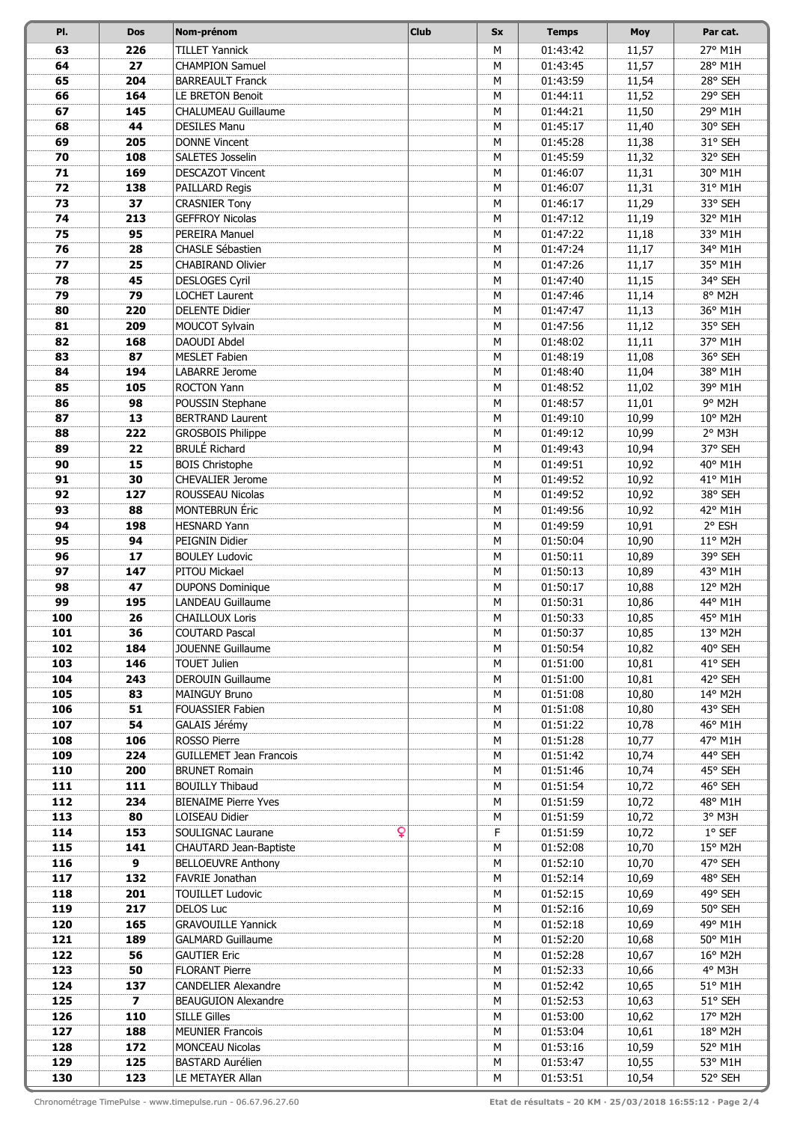| PI.        | <b>Dos</b>              | Nom-prénom                                        | <b>Club</b> | <b>Sx</b> | <b>Temps</b>         | <b>Moy</b>     | Par cat.           |
|------------|-------------------------|---------------------------------------------------|-------------|-----------|----------------------|----------------|--------------------|
| 63         | 226                     | <b>TILLET Yannick</b>                             |             | M         | 01:43:42             | 11,57          | 27° M1H            |
| 64         | 27                      | <b>CHAMPION Samuel</b>                            |             | М         | 01:43:45             | 11,57          | 28° M1H            |
| 65         | 204                     | <b>BARREAULT Franck</b>                           |             | М         | 01:43:59             | 11,54          | 28° SEH            |
| 66         | 164                     | LE BRETON Benoit                                  |             | M         | 01:44:11             | 11,52          | 29° SEH            |
| 67         | 145                     | CHALUMEAU Guillaume                               |             | M         | 01:44:21             | 11,50          | 29° M1H            |
| 68         | 44                      | <b>DESILES Manu</b>                               |             | М         | 01:45:17             | 11,40          | 30° SEH            |
| 69         | 205                     | <b>DONNE Vincent</b>                              |             | M         | 01:45:28             | 11,38          | 31° SEH            |
| 70         | 108                     | SALETES Josselin                                  |             | М         | 01:45:59             | 11,32          | 32° SEH            |
| 71         | 169                     | <b>DESCAZOT Vincent</b>                           |             | М         | 01:46:07             | 11,31          | 30° M1H            |
| 72         | 138                     | PAILLARD Regis                                    |             | M         | 01:46:07             | 11,31          | 31° M1H            |
| 73         | 37                      | <b>CRASNIER Tony</b>                              |             | M         | 01:46:17             | 11,29          | 33° SEH            |
| 74         | 213                     | <b>GEFFROY Nicolas</b>                            |             | М         | 01:47:12             | 11,19          | 32° M1H            |
| 75         | 95                      | PEREIRA Manuel                                    |             | М         | 01:47:22             | 11,18          | 33° M1H            |
| 76<br>77   | 28                      | <b>CHASLE Sébastien</b>                           |             | М<br>M    | 01:47:24             | 11,17          | 34° M1H            |
| 78         | 25<br>45                | <b>CHABIRAND Olivier</b><br><b>DESLOGES Cyril</b> |             | M         | 01:47:26<br>01:47:40 | 11,17<br>11,15 | 35° M1H<br>34° SEH |
| 79         | 79                      | <b>LOCHET Laurent</b>                             |             | M         | 01:47:46             | 11,14          | 8° M2H             |
| 80         | 220                     | <b>DELENTE Didier</b>                             |             | M         | 01:47:47             | 11,13          | 36° M1H            |
| 81         | 209                     | MOUCOT Sylvain                                    |             | M         | 01:47:56             | 11,12          | 35° SEH            |
| 82         | 168                     | DAOUDI Abdel                                      |             | М         | 01:48:02             | 11,11          | 37° M1H            |
| 83         | 87                      | <b>MESLET Fabien</b>                              |             | M         | 01:48:19             | 11,08          | 36° SEH            |
| 84         | 194                     | LABARRE Jerome                                    |             | M         | 01:48:40             | 11,04          | 38° M1H            |
| 85         | 105                     | <b>ROCTON Yann</b>                                |             | M         | 01:48:52             | 11,02          | 39° M1H            |
| 86         | 98                      | POUSSIN Stephane                                  |             | M         | 01:48:57             | 11,01          | 9° M2H             |
| 87         | 13                      | <b>BERTRAND Laurent</b>                           |             | М         | 01:49:10             | 10,99          | 10° M2H            |
| 88         | 222                     | <b>GROSBOIS Philippe</b>                          |             | М         | 01:49:12             | 10,99          | 2° M3H             |
| 89         | 22                      | <b>BRULÉ Richard</b>                              |             | М         | 01:49:43             | 10,94          | 37° SEH            |
| 90         | 15                      | <b>BOIS Christophe</b>                            |             | M         | 01:49:51             | 10,92          | 40° M1H            |
| 91         | 30                      | CHEVALIER Jerome                                  |             | M         | 01:49:52             | 10,92          | 41° M1H            |
| 92         | 127                     | ROUSSEAU Nicolas                                  |             | M         | 01:49:52             | 10,92          | 38° SEH            |
| 93         | 88                      | <b>MONTEBRUN</b> Éric                             |             | M         | 01:49:56             | 10,92          | 42° M1H            |
| 94         | 198                     | <b>HESNARD Yann</b>                               |             | M         | 01:49:59             | 10,91          | 2° ESH             |
| 95         | 94                      | PEIGNIN Didier                                    |             | М         | 01:50:04             | 10,90          | 11° M2H            |
| 96         | 17                      | <b>BOULEY Ludovic</b>                             |             | М         | 01:50:11             | 10,89          | 39° SEH            |
| 97         | 147                     | PITOU Mickael                                     |             | M         | 01:50:13             | 10,89          | 43° M1H            |
| 98         | 47                      | <b>DUPONS Dominique</b>                           |             | M         | 01:50:17             | 10,88          | 12° M2H            |
| 99<br>100  | 195<br>26               | LANDEAU Guillaume<br><b>CHAILLOUX Loris</b>       |             | М<br>M    | 01:50:31             | 10,86          | 44° M1H<br>45° M1H |
| 101        | 36                      | <b>COUTARD Pascal</b>                             |             | М         | 01:50:33<br>01:50:37 | 10,85<br>10,85 | 13° M2H            |
| 102        | 184                     | <b>JOUENNE Guillaume</b>                          |             | М         | 01:50:54             | 10,82          | 40° SEH            |
| 103        | 146                     | <b>TOUET Julien</b>                               |             | М         | 01:51:00             | 10,81          | 41° SEH            |
| 104        | 243                     | <b>DEROUIN Guillaume</b>                          |             | М         | 01:51:00             | 10,81          | 42° SEH            |
| 105        | 83                      | MAINGUY Bruno                                     |             | М         | 01:51:08             | 10,80          | 14° M2H            |
| 106        | 51                      | FOUASSIER Fabien                                  |             | M         | 01:51:08             | 10,80          | 43° SEH            |
| 107        | 54                      | GALAIS Jérémy                                     |             | М         | 01:51:22             | 10,78          | 46° M1H            |
| 108        | 106                     | ROSSO Pierre                                      |             | М         | 01:51:28             | 10,77          | 47° M1H            |
| 109        | 224                     | <b>GUILLEMET Jean Francois</b>                    |             | М         | 01:51:42             | 10,74          | 44° SEH            |
| 110        | 200                     | <b>BRUNET Romain</b>                              |             | М         | 01:51:46             | 10,74          | 45° SEH            |
| 111        | 111                     | <b>BOUILLY Thibaud</b>                            |             | М         | 01:51:54             | 10,72          | 46° SEH            |
| 112        | 234                     | <b>BIENAIME Pierre Yves</b>                       |             | М         | 01:51:59             | 10,72          | 48° M1H            |
| 113        | 80                      | LOISEAU Didier                                    |             | М         | 01:51:59             | 10,72          | 3° M3H             |
| 114        | 153                     | SOULIGNAC Laurane<br>Q                            |             | F         | 01:51:59             | 10,72          | $1°$ SEF           |
| 115        | 141                     | CHAUTARD Jean-Baptiste                            |             | М         | 01:52:08             | 10,70          | 15° M2H            |
| 116        | 9                       | <b>BELLOEUVRE Anthony</b>                         |             | M         | 01:52:10             | 10,70          | 47° SEH            |
| 117        | 132                     | FAVRIE Jonathan                                   |             | М         | 01:52:14             | 10,69          | 48° SEH            |
| 118<br>119 | 201<br>217              | <b>TOUILLET Ludovic</b><br><b>DELOS Luc</b>       |             | М<br>М    | 01:52:15<br>01:52:16 | 10,69<br>10,69 | 49° SEH<br>50° SEH |
| 120        | 165                     | <b>GRAVOUILLE Yannick</b>                         |             | М         | 01:52:18             | 10,69          | 49° M1H            |
| 121        | 189                     | <b>GALMARD Guillaume</b>                          |             | М         | 01:52:20             | 10,68          | 50° M1H            |
| 122        | 56                      | <b>GAUTIER Eric</b>                               |             | М         | 01:52:28             | 10,67          | 16° M2H            |
| 123        | 50                      | <b>FLORANT Pierre</b>                             |             | М         | 01:52:33             | 10,66          | 4° M3H             |
| 124        | 137                     | <b>CANDELIER Alexandre</b>                        |             | М         | 01:52:42             | 10,65          | 51° M1H            |
| 125        | $\overline{\mathbf{z}}$ | <b>BEAUGUION Alexandre</b>                        |             | М         | 01:52:53             | 10,63          | 51° SEH            |
| 126        | 110                     | <b>SILLE Gilles</b>                               |             | М         | 01:53:00             | 10,62          | 17° M2H            |
| 127        | 188                     | <b>MEUNIER Francois</b>                           |             | М         | 01:53:04             | 10,61          | 18° M2H            |
| 128        | 172                     | <b>MONCEAU Nicolas</b>                            |             | М         | 01:53:16             | 10,59          | 52° M1H            |
| 129        | 125                     | <b>BASTARD Aurélien</b>                           |             | М         | 01:53:47             | 10,55          | 53° M1H            |
| 130        | 123                     | LE METAYER Allan                                  |             | М         | 01:53:51             | 10,54          | 52° SEH            |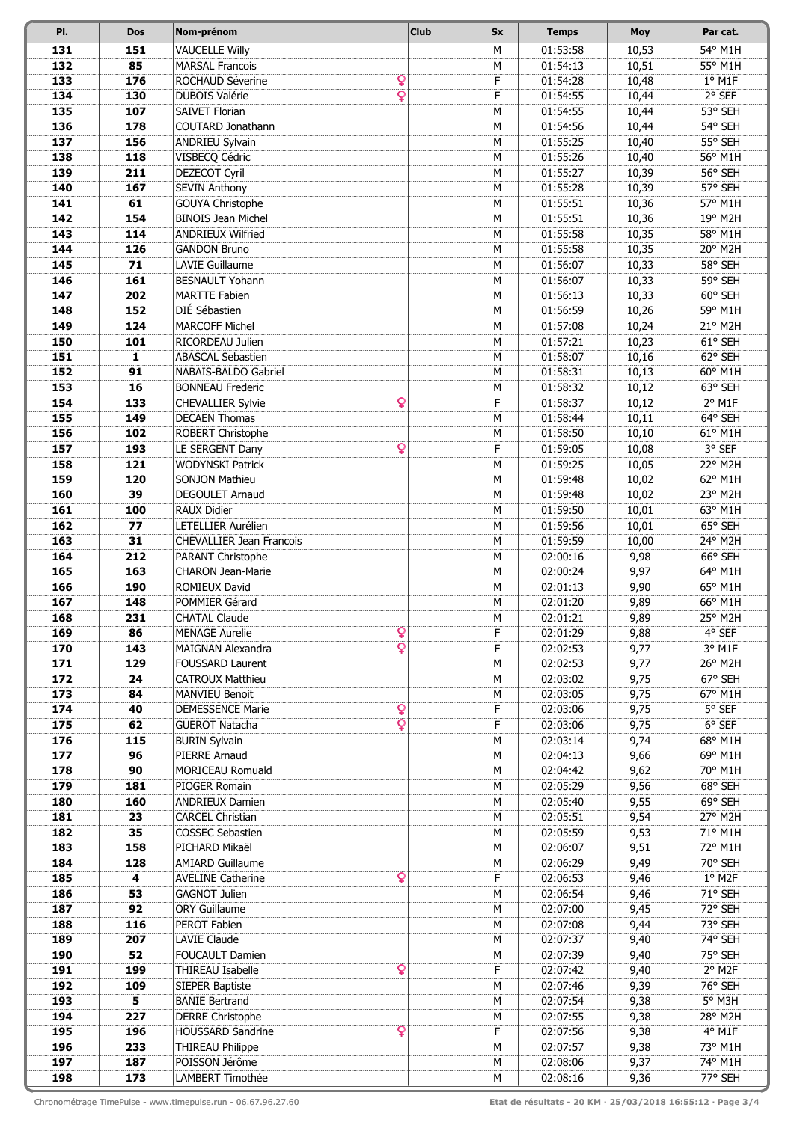| PI.        | <b>Dos</b>   | Nom-prénom                                                                        | <b>Club</b> | Sx     | <b>Temps</b>         | <b>Moy</b>     | Par cat.              |
|------------|--------------|-----------------------------------------------------------------------------------|-------------|--------|----------------------|----------------|-----------------------|
| 131        | 151          | <b>VAUCELLE Willy</b>                                                             |             | M      | 01:53:58             | 10,53          | 54° M1H               |
| 132        | 85           | <b>MARSAL Francois</b>                                                            |             | M      | 01:54:13             | 10,51          | 55° M1H               |
| 133        | 176          | Q<br>ROCHAUD Séverine                                                             |             | F      | 01:54:28             | 10,48          | $1°$ M1F              |
| 134        | 130          | $\overline{\mathbf{Q}}$<br><b>DUBOIS Valérie</b>                                  |             | F      | 01:54:55             | 10,44          | 2° SEF                |
| 135        | 107          | SAIVET Florian                                                                    |             | M      | 01:54:55             | 10,44          | 53° SEH               |
| 136        | 178          | <b>COUTARD Jonathann</b>                                                          |             | M      | 01:54:56             | 10,44          | 54° SEH               |
| 137        | 156          | ANDRIEU Sylvain                                                                   |             | M      | 01:55:25             | 10,40          | 55° SEH               |
| 138        | 118          | VISBECQ Cédric                                                                    |             | M      | 01:55:26             | 10,40          | 56° M1H               |
| 139        | 211          | DEZECOT Cyril                                                                     |             | M      | 01:55:27             | 10,39          | 56° SEH<br>57° SEH    |
| 140<br>141 | 167<br>61    | <b>SEVIN Anthony</b><br>GOUYA Christophe                                          |             | M<br>M | 01:55:28<br>01:55:51 | 10,39<br>10,36 | 57° M1H               |
| 142        | 154          | <b>BINOIS Jean Michel</b>                                                         |             | M      | 01:55:51             | 10,36          | 19° M2H               |
| 143        | 114          | <b>ANDRIEUX Wilfried</b>                                                          |             | M      | 01:55:58             | 10,35          | 58° M1H               |
| 144        | 126          | <b>GANDON Bruno</b>                                                               |             | M      | 01:55:58             | 10,35          | 20° M2H               |
| 145        | 71           | <b>LAVIE Guillaume</b>                                                            |             | M      | 01:56:07             | 10,33          | 58° SEH               |
| 146        | 161          | <b>BESNAULT Yohann</b>                                                            |             | M      | 01:56:07             | 10,33          | 59° SEH               |
| 147        | 202          | <b>MARTTE Fabien</b>                                                              |             | M      | 01:56:13             | 10,33          | 60° SEH               |
| 148        | 152          | DIÉ Sébastien                                                                     |             | M      | 01:56:59             | 10,26          | 59° M1H               |
| 149        | 124          | <b>MARCOFF Michel</b>                                                             |             | M      | 01:57:08             | 10,24          | 21° M2H               |
| 150        | 101          | RICORDEAU Julien                                                                  |             | M      | 01:57:21             | 10,23          | 61° SEH               |
| 151        | $\mathbf{1}$ | <b>ABASCAL Sebastien</b>                                                          |             | M      | 01:58:07             | 10,16          | 62° SEH               |
| 152        | 91           | NABAIS-BALDO Gabriel                                                              |             | M      | 01:58:31             | 10,13          | 60° M1H               |
| 153        | 16           | <b>BONNEAU Frederic</b>                                                           |             | М      | 01:58:32             | 10,12          | 63° SEH               |
| 154        | 133          | Q<br><b>CHEVALLIER Sylvie</b>                                                     |             | F      | 01:58:37             | 10,12          | $2°$ M1F              |
| 155<br>156 | 149<br>102   | <b>DECAEN Thomas</b><br>ROBERT Christophe                                         |             | M<br>M | 01:58:44<br>01:58:50 | 10,11<br>10,10 | 64° SEH<br>61° M1H    |
| 157        | 193          | Q<br>LE SERGENT Dany                                                              |             | F      | 01:59:05             | 10,08          | 3° SEF                |
| 158        | 121          | WODYNSKI Patrick                                                                  |             | M      | 01:59:25             | 10,05          | 22° M2H               |
| 159        | 120          | SONJON Mathieu                                                                    |             | M      | 01:59:48             | 10,02          | 62° M1H               |
| 160        | 39           | DEGOULET Arnaud                                                                   |             | M      | 01:59:48             | 10,02          | 23° M2H               |
| 161        | 100          | <b>RAUX Didier</b>                                                                |             | M      | 01:59:50             | 10,01          | 63° M1H               |
| 162        | 77           | LETELLIER Aurélien                                                                |             | M      | 01:59:56             | 10,01          | 65° SEH               |
| 163        | 31           | <b>CHEVALLIER Jean Francois</b>                                                   |             | M      | 01:59:59             | 10,00          | 24° M2H               |
| 164        | 212          | PARANT Christophe                                                                 |             | M      | 02:00:16             | 9,98           | 66° SEH               |
| 165        | 163          | <b>CHARON Jean-Marie</b>                                                          |             | M      | 02:00:24             | 9,97           | 64° M1H               |
| 166        | 190          | ROMIEUX David                                                                     |             | M      | 02:01:13             | 9,90           | 65° M1H               |
| 167        | 148          | POMMIER Gérard                                                                    |             | M      | 02:01:20             | 9,89           | 66° M1H               |
| 168        | 231          | <b>CHATAL Claude</b>                                                              |             | М      | 02:01:21             | 9,89           | 25° M2H               |
| 169<br>170 | 86<br>143    | Q<br><b>MENAGE Aurelie</b><br>$\overline{\mathbf{Q}}$<br><b>MAIGNAN Alexandra</b> |             | F<br>F | 02:01:29<br>02:02:53 | 9,88<br>9,77   | 4° SEF<br>3° M1F      |
| 171        | 129          | <b>FOUSSARD Laurent</b>                                                           |             | М      | 02:02:53             | 9,77           | 26° M2H               |
| 172        | 24           | <b>CATROUX Matthieu</b>                                                           |             | М      | 02:03:02             | 9,75           | 67° SEH               |
| 173        | 84           | <b>MANVIEU Benoit</b>                                                             |             | M      | 02:03:05             | 9,75           | 67° M1H               |
| 174        | 40           | Q<br><b>DEMESSENCE Marie</b>                                                      |             | F      | 02:03:06             | 9,75           | 5° SEF                |
| 175        | 62           | $\overline{\mathbf{Q}}$<br><b>GUEROT Natacha</b>                                  |             | F      | 02:03:06             | 9,75           | $6^{\circ}$ SEF       |
| 176        | 115          | <b>BURIN Sylvain</b>                                                              |             | М      | 02:03:14             | 9,74           | 68° M1H               |
| 177        | 96           | PIERRE Arnaud                                                                     |             | M      | 02:04:13             | 9,66           | 69° M1H               |
| 178        | 90           | MORICEAU Romuald                                                                  |             | М      | 02:04:42             | 9,62           | 70° M1H               |
| 179        | 181          | PIOGER Romain                                                                     |             | М      | 02:05:29             | 9,56           | 68° SEH               |
| 180        | 160          | <b>ANDRIEUX Damien</b>                                                            |             | М      | 02:05:40             | 9,55           | 69° SEH               |
| 181        | 23           | <b>CARCEL Christian</b>                                                           |             | M      | 02:05:51             | 9,54           | 27° M2H               |
| 182<br>183 | 35<br>158    | <b>COSSEC Sebastien</b><br>PICHARD Mikaël                                         |             | м<br>м | 02:05:59<br>02:06:07 | 9,53<br>9,51   | 71° M1H<br>72° M1H    |
| 184        | 128          | <b>AMIARD Guillaume</b>                                                           |             | M      | 02:06:29             | 9,49           | 70° SEH               |
| 185        | 4            | Q<br><b>AVELINE Catherine</b>                                                     |             | F      | 02:06:53             | 9,46           | $1°$ M <sub>2</sub> F |
| 186        | 53           | <b>GAGNOT Julien</b>                                                              |             | M      | 02:06:54             | 9,46           | 71° SEH               |
| 187        | 92           | <b>ORY Guillaume</b>                                                              |             | М      | 02:07:00             | 9,45           | 72° SEH               |
| 188        | 116          | PEROT Fabien                                                                      |             | M      | 02:07:08             | 9,44           | 73° SEH               |
| 189        | 207          | LAVIE Claude                                                                      |             | м      | 02:07:37             | 9,40           | 74° SEH               |
| 190        | 52           | <b>FOUCAULT Damien</b>                                                            |             | М      | 02:07:39             | 9,40           | 75° SEH               |
| 191        | 199          | Q<br>THIREAU Isabelle                                                             |             | F      | 02:07:42             | 9,40           | 2° M2F                |
| 192        | 109          | SIEPER Baptiste                                                                   |             | М      | 02:07:46             | 9,39           | 76° SEH               |
| 193        | 5            | <b>BANIE Bertrand</b>                                                             |             | М      | 02:07:54             | 9,38           | 5° M3H                |
| 194        | 227          | <b>DERRE Christophe</b>                                                           |             | M      | 02:07:55             | 9,38           | 28° M2H               |
| 195        | 196<br>233   | Q<br><b>HOUSSARD Sandrine</b><br>THIREAU Philippe                                 |             | F<br>M | 02:07:56<br>02:07:57 | 9,38           | 4° M1F<br>73° M1H     |
| 196<br>197 | 187          | POISSON Jérôme                                                                    |             | M      | 02:08:06             | 9,38<br>9,37   | 74° M1H               |
| 198        | 173          | LAMBERT Timothée                                                                  |             | M      | 02:08:16             | 9,36           | 77° SEH               |
|            |              |                                                                                   |             |        |                      |                |                       |